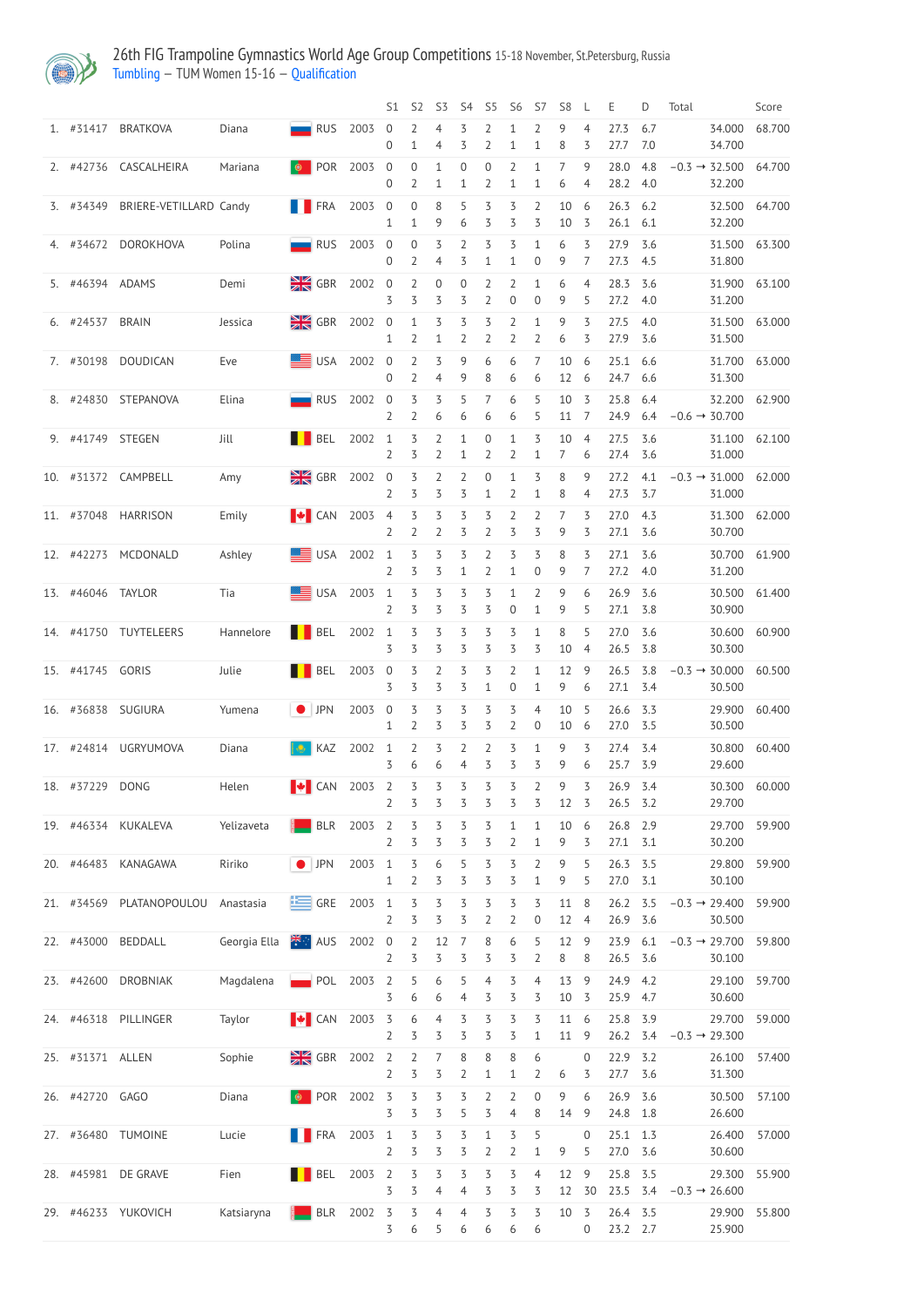

## 26th FIG Trampoline Gymnastics World Age Group Competitions 15-18 November, St.Petersburg, Russia [Tumbling](http://192.168.1.10:9001/event/TUM) — TUM Women 15-16 — [Qualification](http://192.168.1.10:9001/stages/17)

|                   |                               |              |                           |        | S1                               | S <sub>2</sub>                     | S <sub>3</sub>                 | S <sub>4</sub>                   | S <sub>5</sub>                   | S <sub>6</sub>                     | S7                               | S <sub>8</sub>  | L                   | Ε                      | D           | Total                              |                  | Score         |
|-------------------|-------------------------------|--------------|---------------------------|--------|----------------------------------|------------------------------------|--------------------------------|----------------------------------|----------------------------------|------------------------------------|----------------------------------|-----------------|---------------------|------------------------|-------------|------------------------------------|------------------|---------------|
| 1. #31417         | <b>BRATKOVA</b>               | Diana        | $\blacksquare$ RUS        | 2003   | $\overline{0}$<br>0              | 2<br>$\mathbf 1$                   | 4<br>4                         | 3<br>3                           | 2<br>2                           | 1<br>1                             | $\overline{2}$<br>$\mathbf{1}$   | 9<br>8          | $\overline{4}$<br>3 | 27.3<br>27.7           | 6.7<br>7.0  |                                    | 34.000<br>34.700 | 68.700        |
|                   | 2. #42736 CASCALHEIRA         | Mariana      | <b>D</b> POR              | 2003   | $\boldsymbol{0}$<br>0            | $\boldsymbol{0}$<br>$\overline{2}$ | 1<br>1                         | 0<br>$\mathbf 1$                 | $\mathbf 0$<br>$\overline{2}$    | $\overline{2}$<br>$\mathbf 1$      | $\mathbf{1}$<br>1                | 7<br>6          | 9<br>4              | 28.0<br>28.2 4.0       | 4.8         | $-0.3 \rightarrow$                 | 32.500<br>32.200 | 64.700        |
| 3. #34349         | <b>BRIERE-VETILLARD Candy</b> |              | <b>FRA</b>                | 2003   | $\overline{0}$<br>1              | $\boldsymbol{0}$<br>$\mathbf{1}$   | 8<br>9                         | 5<br>6                           | 3<br>3                           | 3<br>3                             | $\overline{2}$<br>3              | 10<br>10        | 6<br>3              | 26.3<br>$26.1$ 6.1     | 6.2         |                                    | 32.500<br>32.200 | 64.700        |
|                   | 4. #34672 DOROKHOVA           | Polina       | $\blacksquare$ RUS        | 2003   | $\overline{0}$<br>$\overline{0}$ | $\overline{0}$<br>$\overline{2}$   | 3<br>$\overline{4}$            | $\overline{2}$<br>3              | 3<br>$\mathbf{1}$                | 3<br>$\mathbf 1$                   | $\mathbf{1}$<br>$\boldsymbol{0}$ | 6<br>9          | 3<br>$\overline{7}$ | 27.9<br>27.3           | 3.6<br>-4.5 |                                    | 31.500<br>31.800 | 63.300        |
| 5. #46394 ADAMS   |                               | Demi         | $\frac{N}{N}$ GBR         | 2002   | $\overline{0}$<br>3              | $\overline{2}$<br>3                | $\boldsymbol{0}$<br>3          | $\boldsymbol{0}$<br>3            | $\overline{2}$<br>$\overline{2}$ | $\overline{2}$<br>$\boldsymbol{0}$ | $\mathbf{1}$<br>$\overline{0}$   | 6<br>9          | 4<br>5              | 28.3<br>27.2 4.0       | 3.6         |                                    | 31.900<br>31.200 | 63.100        |
| 6. #24537         | <b>BRAIN</b>                  | Jessica      | $\frac{N}{2}$ GBR         | 2002 0 | 1                                | $\mathbf{1}$<br>$\overline{2}$     | $\overline{3}$<br>$\mathbf{1}$ | 3<br>$\overline{2}$              | 3<br>$\overline{2}$              | $\overline{2}$<br>2                | $\mathbf{1}$<br>2                | 9<br>6          | 3<br>3              | 27.5<br>27.9           | 4.0<br>3.6  |                                    | 31.500<br>31.500 | 63.000        |
| 7. #30198         | <b>DOUDICAN</b>               | Eve          | <b>SEE</b> USA            | 2002   | $\overline{0}$<br>0              | $\overline{2}$<br>$\overline{2}$   | 3<br>4                         | 9<br>9                           | 6<br>8                           | 6<br>6                             | 7<br>6                           | 10<br>12        | 6<br>6              | 25.1<br>24.7 6.6       | 6.6         |                                    | 31.700<br>31.300 | 63.000        |
| 8. #24830         | STEPANOVA                     | Elina        | $\blacksquare$ RUS        | 2002   | $\overline{0}$<br>2              | 3<br>$\overline{2}$                | 3<br>6                         | 5<br>6                           | 7<br>6                           | 6<br>6                             | 5<br>5                           | 10<br>11        | 3<br>7              | 25.8<br>24.9           | 6.4<br>6.4  | $-0.6 \rightarrow 30.700$          | 32.200           | 62.900        |
| 9. #41749 STEGEN  |                               | Jill         | <b>NORTH</b> BEL          | 2002   | $\overline{1}$<br>2              | 3<br>3                             | $\overline{2}$<br>2            | $\mathbf{1}$<br>$\mathbf 1$      | $\mathbf 0$<br>2                 | $\mathbf{1}$<br>$\overline{2}$     | 3<br>$\mathbf 1$                 | 10<br>7         | $\overline{4}$<br>6 | 27.5<br>27.4           | 3.6<br>3.6  |                                    | 31.100<br>31.000 | 62.100        |
|                   | 10. #31372 CAMPBELL           | Amy          | $\frac{N}{N}$ GBR         | 2002 0 | 2                                | 3<br>3                             | 2<br>3                         | $\overline{2}$<br>3              | $\boldsymbol{0}$<br>$\mathbf{1}$ | $\mathbf 1$<br>$\overline{2}$      | 3<br>$\mathbf 1$                 | 8<br>8          | 9<br>4              | 27.2<br>27.3           | 4.1<br>3.7  | $-0.3 \rightarrow 31.000$          | 31.000           | 62.000        |
|                   | 11. #37048 HARRISON           | Emily        | $\blacktriangleright$ CAN | 2003   | $\overline{4}$<br>2              | 3<br>$\overline{2}$                | 3<br>2                         | 3<br>3                           | 3<br>2                           | $\overline{2}$<br>3                | 2<br>3                           | 7<br>9          | 3<br>3              | 27.0<br>27.1           | 4.3<br>3.6  |                                    | 31.300<br>30.700 | 62.000        |
| 12. #42273        | MCDONALD                      | Ashley       | USA 2002 1                |        | $\overline{2}$                   | $\overline{5}$<br>3                | 3<br>3                         | 3<br>$\mathbf{1}$                | $\overline{2}$<br>2              | 3<br>$\mathbf{1}$                  | 3<br>$\Omega$                    | 8<br>9          | 3<br>7              | 27.1<br>27.2           | 3.6<br>4.0  |                                    | 30.700<br>31.200 | 61.900        |
| 13. #46046 TAYLOR |                               | Tia          | USA 2003 1 3 3            |        | 2                                | 3                                  | 3                              | $\overline{3}$<br>3              | $\overline{3}$<br>3              | $\mathbf{1}$<br>$\boldsymbol{0}$   | $\overline{2}$<br>1              | 9 6<br>9        | 5                   | 26.9 3.6<br>27.1       | 3.8         |                                    | 30.900           | 30.500 61.400 |
| 14. #41750        | TUYTELEERS                    | Hannelore    | <b>BEL</b>                | 2002   | $\mathbf{1}$<br>3                | $\overline{5}$<br>3                | $\overline{\mathcal{S}}$<br>3  | 3<br>3                           | $\overline{5}$<br>3              | 3<br>3                             | $\mathbf{1}$<br>3                | 8<br>10         | 5<br>$\overline{4}$ | 27.0<br>26.5           | 3.6<br>3.8  |                                    | 30.600<br>30.300 | 60.900        |
| 15. #41745 GORIS  |                               | Julie        | <b>BEL</b>                | 2003   | $\overline{0}$<br>3              | 3<br>3                             | $\overline{2}$<br>3            | 3<br>3                           | 3<br>1                           | $\overline{2}$<br>$\boldsymbol{0}$ | 1<br>1                           | 12<br>9         | 9<br>6              | 26.5<br>27.1           | 3.8<br>3.4  | $-0.3 \rightarrow 30.000$          | 30.500           | 60.500        |
|                   | 16. #36838 SUGIURA            | Yumena       | $\bigcirc$ JPN            | 2003   | $\mathbf 0$<br>1                 | 3<br>$\overline{2}$                | 3<br>3                         | 3<br>3                           | 3<br>3                           | 3<br>$\overline{2}$                | 4<br>$\boldsymbol{0}$            | 10<br>$10\,$    | 5<br>6              | 26.6<br>27.0           | 3.3<br>3.5  |                                    | 29.900<br>30.500 | 60.400        |
| 17. #24814        | <b>UGRYUMOVA</b>              | Diana        | KAZ                       | 2002   | $\mathbf{1}$<br>3                | $\overline{2}$<br>6                | 3<br>6                         | $\overline{2}$<br>$\overline{4}$ | $\overline{2}$<br>3              | 3<br>3                             | 1<br>3                           | 9<br>9          | 3<br>6              | 27.4<br>25.7           | 3.4<br>3.9  |                                    | 30.800<br>29.600 | 60.400        |
| 18. #37229        | <b>DONG</b>                   | Helen        | $\blacktriangleright$ CAN | 2003   | $\overline{2}$<br>$\overline{2}$ | $\overline{5}$<br>3                | $\overline{5}$<br>3            | 3<br>3                           | 3<br>3                           | 3<br>3                             | 2<br>3                           | 9<br>12         | 3<br>3              | 26.9<br>26.5           | 3.4<br>3.2  |                                    | 30.300<br>29.700 | 60.000        |
|                   | 19. #46334 KUKALEVA           | Yelizaveta   | <b>BLR</b>                | 2003   | $\overline{2}$<br>$\overline{2}$ | 3<br>3                             | 3<br>3                         | 3<br>3                           | 3<br>3                           | $\mathbf{1}$<br>2                  | $\mathbf 1$<br>1                 | 10<br>9         | 6<br>3              | 26.8<br>27.1           | 2.9<br>3.1  |                                    | 29.700<br>30.200 | 59.900        |
| 20. #46483        | KANAGAWA                      | Ririko       | $\bullet$ JPN             | 2003   | $\mathbf{1}$<br>1                | 3<br>$\overline{2}$                | 6<br>3                         | 5<br>3                           | 3<br>3                           | 3<br>3                             | $\overline{2}$<br>$\mathbf{1}$   | 9<br>9          | 5<br>5              | 26.3<br>27.0           | 3.5<br>3.1  |                                    | 29.800<br>30.100 | 59.900        |
| 21. #34569        | PLATANOPOULOU                 | Anastasia    | $\equiv$ GRE              | 2003   | $\overline{1}$<br>2              | $\overline{5}$<br>3                | $\overline{5}$<br>3            | $\overline{5}$<br>3              | $\overline{3}$<br>$\overline{2}$ | $\overline{5}$<br>$\overline{2}$   | 3<br>$\mathbf 0$                 | 11<br>12        | 8<br>$\overline{4}$ | 26.2<br>26.9           | 3.5<br>3.6  | $-0.3 \rightarrow 29.400$          | 30.500           | 59.900        |
| 22. #43000        | <b>BEDDALL</b>                | Georgia Ella | ₹∵ AUS                    | 2002   | $\overline{0}$<br>2              | $\overline{2}$<br>3                | 12<br>3                        | $\overline{7}$<br>3              | $8\,$<br>3                       | 6<br>3                             | 5<br>2                           | 12<br>8         | 9<br>8              | 23.9<br>26.5 3.6       | 6.1         | $-0.3 \rightarrow 29.700$          | 30.100           | 59.800        |
| 23. #42600        | <b>DROBNIAK</b>               | Magdalena    | $\blacksquare$ POL        | 2003   | $\overline{2}$<br>3              | 5<br>6                             | 6<br>6                         | 5<br>4                           | $\overline{4}$<br>3              | 3<br>3                             | 4<br>3                           | 13<br>10        | 9<br>3              | 24.9<br>25.9           | 4.2<br>4.7  |                                    | 29.100<br>30.600 | 59.700        |
| 24. #46318        | PILLINGER                     | Taylor       | $\blacktriangleright$ CAN | 2003   | 3<br>2                           | 6<br>3                             | $\overline{4}$<br>3            | 3<br>3                           | 3<br>3                           | 3<br>3                             | 3<br>1                           | 11<br>11        | 6<br>9              | 25.8<br>26.2           | 3.9<br>3.4  | $-0.3 \rightarrow 29.300$          | 29.700           | 59.000        |
| 25. #31371 ALLEN  |                               | Sophie       | $\frac{N}{Z}$ GBR 2002 2  |        | 2                                | $\overline{2}$<br>3                | 7<br>3                         | $8\,$<br>$\overline{2}$          | 8<br>$\mathbf{1}$                | 8<br>1                             | 6<br>2                           | 6               | $\overline{0}$<br>3 | 22.9<br>27.7           | 3.2<br>3.6  |                                    | 26.100<br>31.300 | 57.400        |
| 26. #42720 GAGO   |                               | Diana        | $\bullet$ POR 2002 3      |        | 3                                | 3<br>3                             | 3<br>3                         | 3<br>5                           | 2<br>3                           | 2<br>4                             | 8                                | 9<br>14         | 6<br>9              | 26.9 3.6<br>24.8 1.8   |             |                                    | 30.500<br>26.600 | 57.100        |
|                   | 27. #36480 TUMOINE            | Lucie        | FRA 2003 1                |        | $\overline{2}$                   | 3<br>3                             | 3<br>3                         | 3<br>3                           | $\mathbf{1}$<br>2                | 3<br>2                             | 5<br>1                           | 9               | $\overline{0}$<br>5 | $25.1$ 1.3<br>27.0 3.6 |             |                                    | 26.400<br>30.600 | 57.000        |
|                   | 28. #45981 DE GRAVE           | Fien         | <b>NORTH</b> BEL          | 2003 2 | 3                                | 3<br>3                             | 3<br>4                         | 3<br>4                           | 3<br>3                           | 3<br>3                             | $\overline{4}$<br>3              | 12<br>12        | 9<br>30             | 25.8 3.5               |             | 23.5 $3.4 -0.3 \rightarrow 26.600$ |                  | 29.300 55.900 |
|                   | 29. #46233 YUKOVICH           | Katsiaryna   | <b>BLR</b> 2002 3         |        | 3                                | 3<br>6                             | $\overline{4}$<br>5            | $\overline{4}$<br>6              | 3<br>6                           | 3<br>6                             | 3<br>6                           | 10 <sub>5</sub> | $\overline{0}$      | 26.4 3.5<br>$23.2$ 2.7 |             |                                    | 25.900           | 29.900 55.800 |